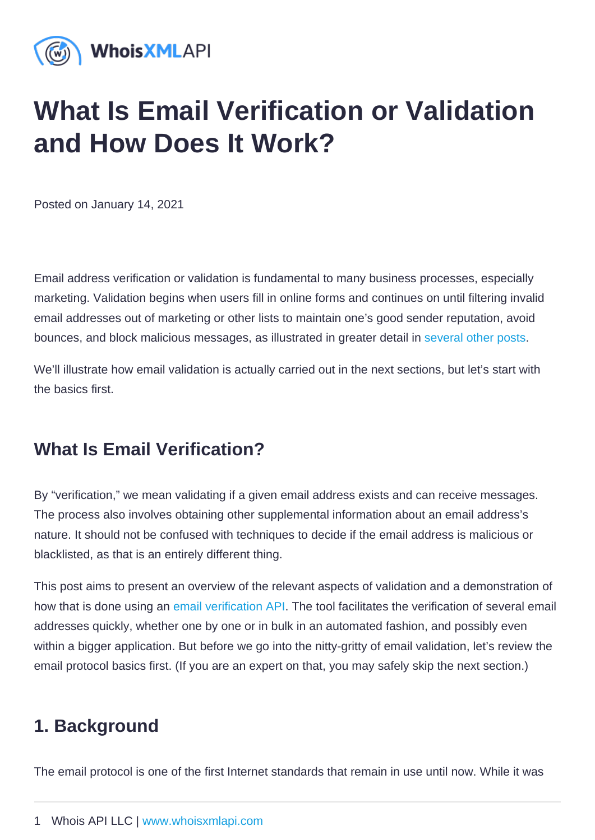# What Is Email Verification or Validation and How Does It Work?

Posted on January 14, 2021

Email address verification or validation is fundamental to many business processes, especially marketing. Validation begins when users fill in online forms and continues on until filtering invalid email addresses out of marketing or other lists to maintain one's good sender reputation, avoid bounces, and block malicious messages, as illustrated in greater detail in [several other posts](https://emailverification.whoisxmlapi.com/blog).

We'll illustrate how email validation is actually carried out in the next sections, but let's start with the basics first.

## What Is Email Verification?

By "verification," we mean validating if a given email address exists and can receive messages. The process also involves obtaining other supplemental information about an email address's nature. It should not be confused with techniques to decide if the email address is malicious or blacklisted, as that is an entirely different thing.

This post aims to present an overview of the relevant aspects of validation and a demonstration of how that is done using an [email verification API](https://emailverification.whoisxmlapi.com/). The tool facilitates the verification of several email addresses quickly, whether one by one or in bulk in an automated fashion, and possibly even within a bigger application. But before we go into the nitty-gritty of email validation, let's review the email protocol basics first. (If you are an expert on that, you may safely skip the next section.)

## 1. Background

The email protocol is one of the first Internet standards that remain in use until now. While it was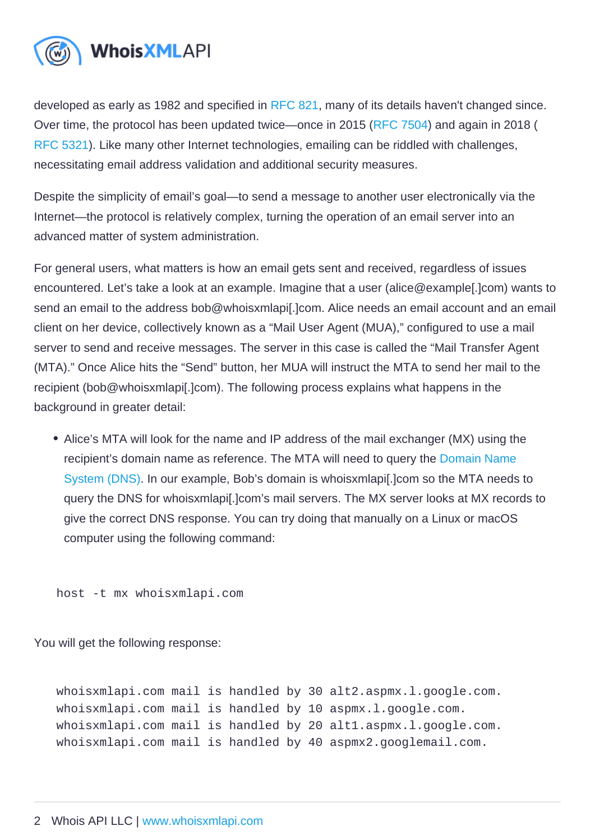developed as early as 1982 and specified in [RFC 821,](https://tools.ietf.org/html/rfc821) many of its details haven't changed since. Over time, the protocol has been updated twice—once in 2015 ([RFC 7504](https://tools.ietf.org/html/rfc7504)) and again in 2018 ( [RFC 5321\)](https://tools.ietf.org/html/rfc5321). Like many other Internet technologies, emailing can be riddled with challenges, necessitating email address validation and additional security measures.

Despite the simplicity of email's goal—to send a message to another user electronically via the Internet—the protocol is relatively complex, turning the operation of an email server into an advanced matter of system administration.

For general users, what matters is how an email gets sent and received, regardless of issues encountered. Let's take a look at an example. Imagine that a user (alice@example[.]com) wants to send an email to the address bob@whoisxmlapi[.]com. Alice needs an email account and an email client on her device, collectively known as a "Mail User Agent (MUA)," configured to use a mail server to send and receive messages. The server in this case is called the "Mail Transfer Agent (MTA)." Once Alice hits the "Send" button, her MUA will instruct the MTA to send her mail to the recipient (bob@whoisxmlapi[.]com). The following process explains what happens in the background in greater detail:

• Alice's MTA will look for the name and IP address of the mail exchanger (MX) using the recipient's domain name as reference. The MTA will need to query the [Domain Name](https://main.whoisxmlapi.com/domain-name-system-primer)  [System \(DNS\).](https://main.whoisxmlapi.com/domain-name-system-primer) In our example, Bob's domain is whoisxmlapi[.]com so the MTA needs to query the DNS for whoisxmlapi[.]com's mail servers. The MX server looks at MX records to give the correct DNS response. You can try doing that manually on a Linux or macOS computer using the following command:

host -t mx whoisxmlapi.com

You will get the following response:

whoisxmlapi.com mail is handled by 30 alt2.aspmx.l.google.com. whoisxmlapi.com mail is handled by 10 aspmx.l.google.com. whoisxmlapi.com mail is handled by 20 alt1.aspmx.l.google.com. whoisxmlapi.com mail is handled by 40 aspmx2.googlemail.com.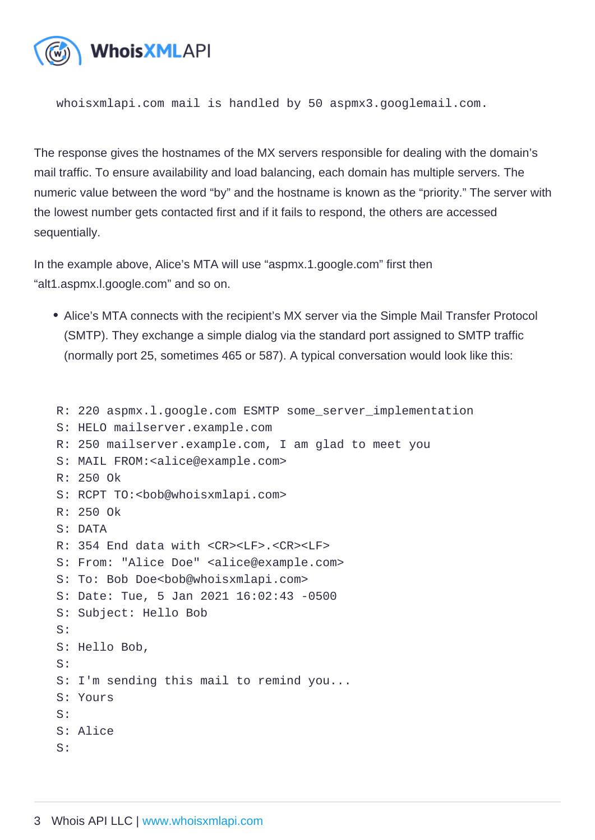whoisxmlapi.com mail is handled by 50 aspmx3.googlemail.com.

The response gives the hostnames of the MX servers responsible for dealing with the domain's mail traffic. To ensure availability and load balancing, each domain has multiple servers. The numeric value between the word "by" and the hostname is known as the "priority." The server with the lowest number gets contacted first and if it fails to respond, the others are accessed sequentially.

In the example above, Alice's MTA will use "aspmx.1.google.com" first then "alt1.aspmx.l.google.com" and so on.

- Alice's MTA connects with the recipient's MX server via the Simple Mail Transfer Protocol (SMTP). They exchange a simple dialog via the standard port assigned to SMTP traffic (normally port 25, sometimes 465 or 587). A typical conversation would look like this:
- R: 220 aspmx.l.google.com ESMTP some\_server\_implementation
- S: HELO mailserver.example.com
- R: 250 mailserver.example.com, I am glad to meet you
- S: MAIL FROM:<alice@example.com>
- R: 250 Ok
- S: RCPT TO:<bob@whoisxmlapi.com>
- R: 250 Ok
- S: DATA
- R: 354 End data with <CR><LF>.<CR><LF>
- S: From: "Alice Doe" <alice@example.com>
- S: To: Bob Doe<bob@whoisxmlapi.com>
- S: Date: Tue, 5 Jan 2021 16:02:43 -0500
- S: Subject: Hello Bob
- S:
- S: Hello Bob,
- S:
- S: I'm sending this mail to remind you...
- S: Yours
- $S^{\cdot}$
- S: Alice
- $S^1$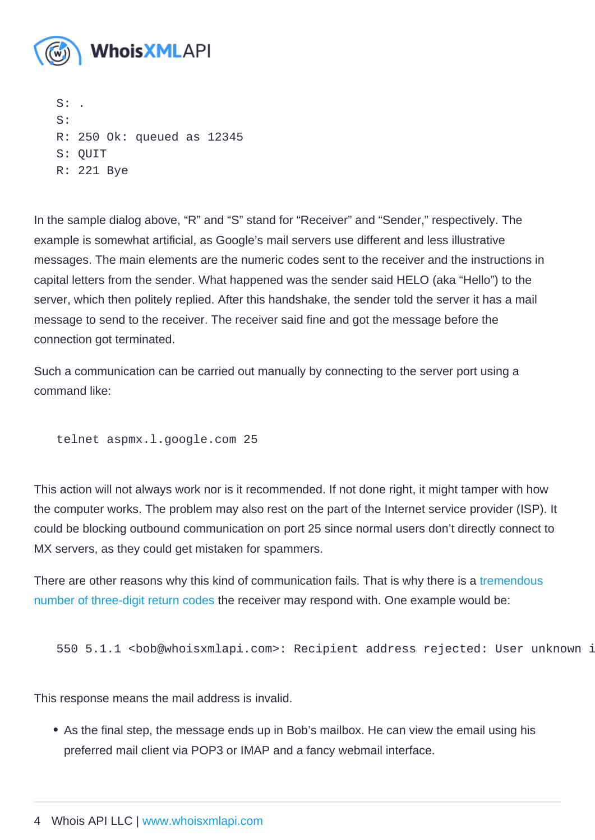$S$ : S: R: 250 Ok: queued as 12345 S: QUIT R: 221 Bye

In the sample dialog above, "R" and "S" stand for "Receiver" and "Sender," respectively. The example is somewhat artificial, as Google's mail servers use different and less illustrative messages. The main elements are the numeric codes sent to the receiver and the instructions in capital letters from the sender. What happened was the sender said HELO (aka "Hello") to the server, which then politely replied. After this handshake, the sender told the server it has a mail message to send to the receiver. The receiver said fine and got the message before the connection got terminated.

Such a communication can be carried out manually by connecting to the server port using a command like:

telnet aspmx.l.google.com 25

This action will not always work nor is it recommended. If not done right, it might tamper with how the computer works. The problem may also rest on the part of the Internet service provider (ISP). It could be blocking outbound communication on port 25 since normal users don't directly connect to MX servers, as they could get mistaken for spammers.

There are other reasons why this kind of communication fails. That is why there is a tremendous [number of three-digit return codes](https://en.wikipedia.org/wiki/List_of_SMTP_server_return_codes) the receiver may respond with. One example would be:

550 5.1.1 <bob@whoisxmlapi.com>: Recipient address rejected: User unknown in virtual mailbox table

This response means the mail address is invalid.

As the final step, the message ends up in Bob's mailbox. He can view the email using his preferred mail client via POP3 or IMAP and a fancy webmail interface.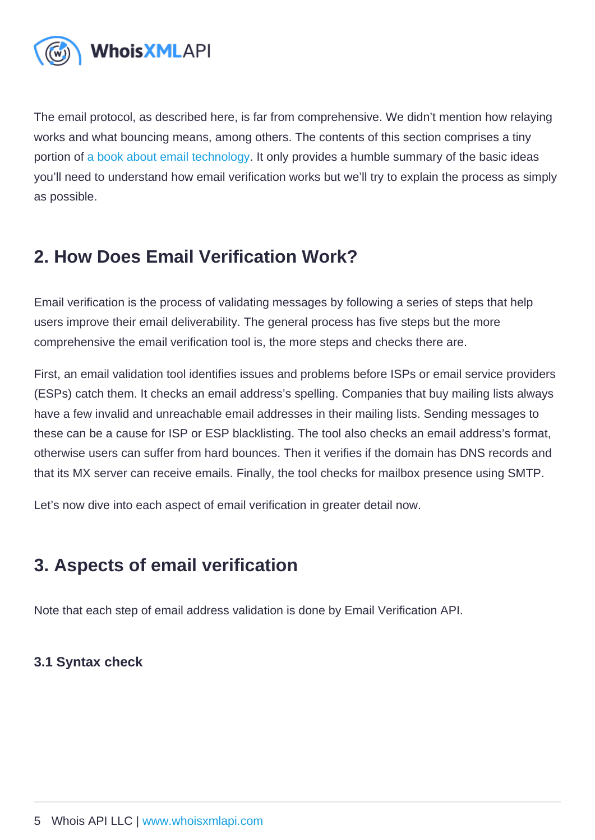The email protocol, as described here, is far from comprehensive. We didn't mention how relaying works and what bouncing means, among others. The contents of this section comprises a tiny portion of [a book about email technology](https://www.oreilly.com/library/view/programming-internet-email/9780596802585). It only provides a humble summary of the basic ideas you'll need to understand how email verification works but we'll try to explain the process as simply as possible.

## 2. How Does Email Verification Work?

Email verification is the process of validating messages by following a series of steps that help users improve their email deliverability. The general process has five steps but the more comprehensive the email verification tool is, the more steps and checks there are.

First, an email validation tool identifies issues and problems before ISPs or email service providers (ESPs) catch them. It checks an email address's spelling. Companies that buy mailing lists always have a few invalid and unreachable email addresses in their mailing lists. Sending messages to these can be a cause for ISP or ESP blacklisting. The tool also checks an email address's format, otherwise users can suffer from hard bounces. Then it verifies if the domain has DNS records and that its MX server can receive emails. Finally, the tool checks for mailbox presence using SMTP.

Let's now dive into each aspect of email verification in greater detail now.

## 3. Aspects of email verification

Note that each step of email address validation is done by Email Verification API.

3.1 Syntax check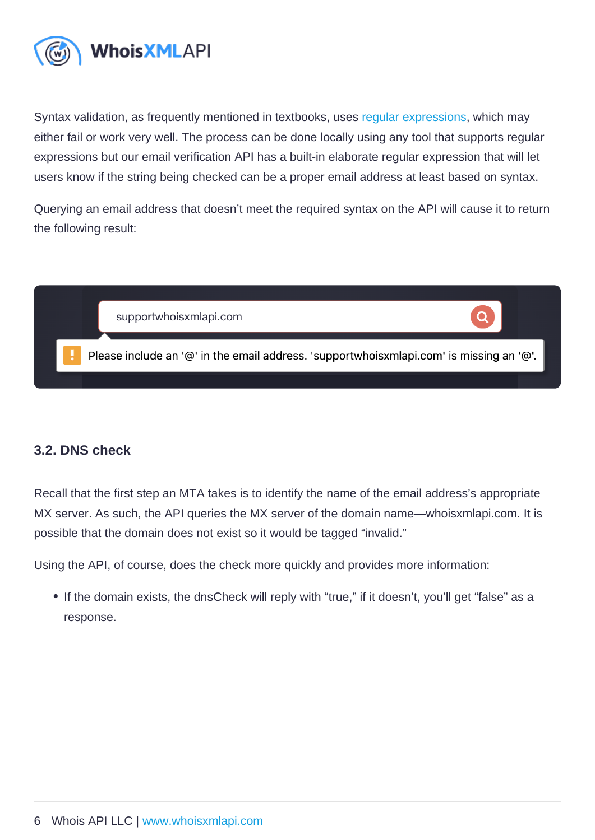Syntax validation, as frequently mentioned in textbooks, uses [regular expressions,](https://www.regular-expressions.info/) which may either fail or work very well. The process can be done locally using any tool that supports regular expressions but our email verification API has a built-in elaborate regular expression that will let users know if the string being checked can be a proper email address at least based on syntax.

Querying an email address that doesn't meet the required syntax on the API will cause it to return the following result:

#### 3.2. DNS check

Recall that the first step an MTA takes is to identify the name of the email address's appropriate MX server. As such, the API queries the MX server of the domain name—whoisxmlapi.com. It is possible that the domain does not exist so it would be tagged "invalid."

Using the API, of course, does the check more quickly and provides more information:

• If the domain exists, the dnsCheck will reply with "true," if it doesn't, you'll get "false" as a response.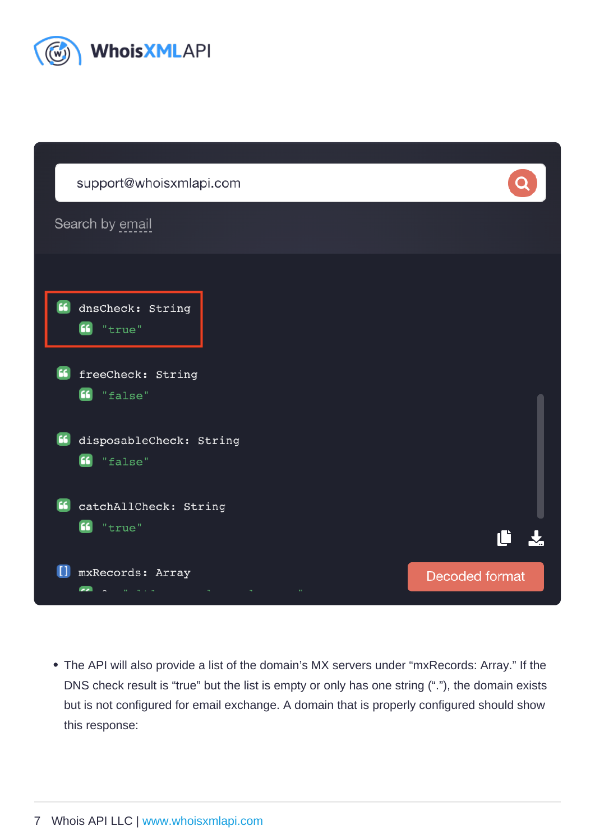The API will also provide a list of the domain's MX servers under "mxRecords: Array." If the DNS check result is "true" but the list is empty or only has one string ("."), the domain exists but is not configured for email exchange. A domain that is properly configured should show this response: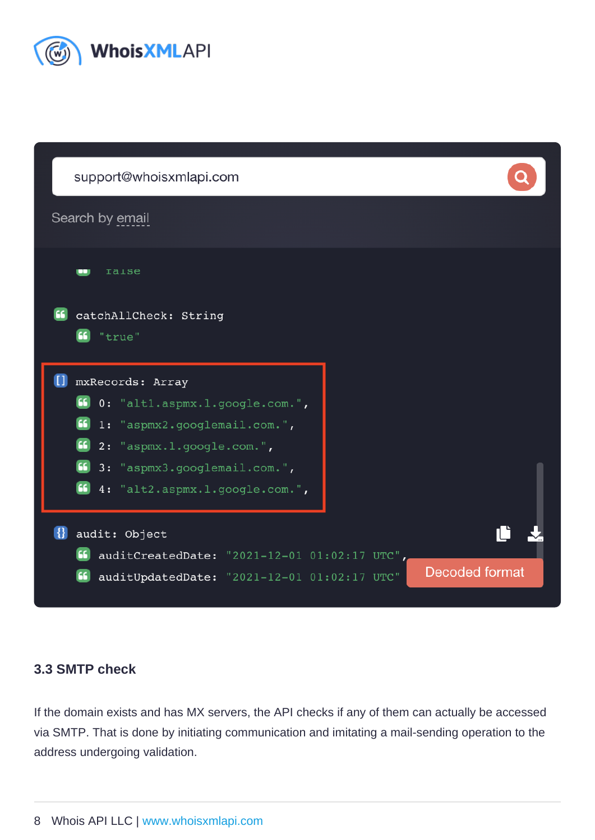#### 3.3 SMTP check

If the domain exists and has MX servers, the API checks if any of them can actually be accessed via SMTP. That is done by initiating communication and imitating a mail-sending operation to the address undergoing validation.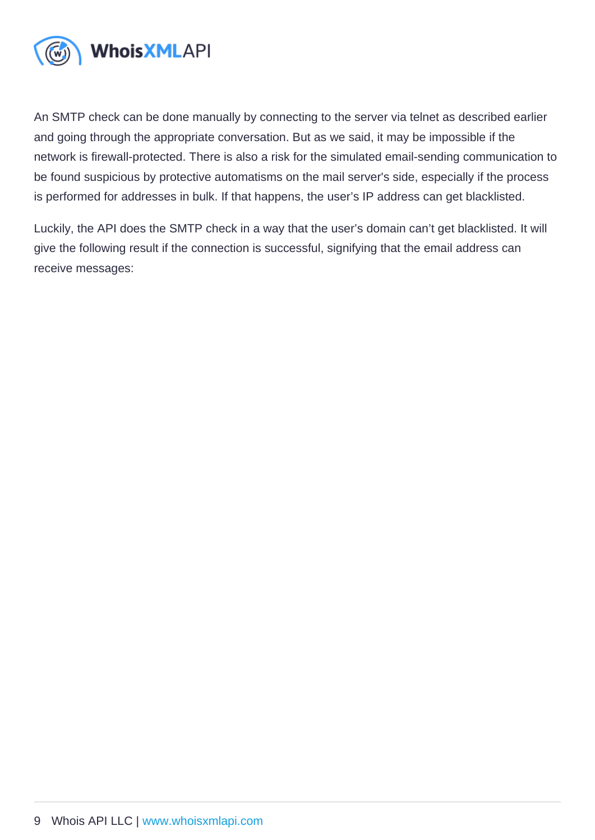An SMTP check can be done manually by connecting to the server via telnet as described earlier and going through the appropriate conversation. But as we said, it may be impossible if the network is firewall-protected. There is also a risk for the simulated email-sending communication to be found suspicious by protective automatisms on the mail server's side, especially if the process is performed for addresses in bulk. If that happens, the user's IP address can get blacklisted.

Luckily, the API does the SMTP check in a way that the user's domain can't get blacklisted. It will give the following result if the connection is successful, signifying that the email address can receive messages: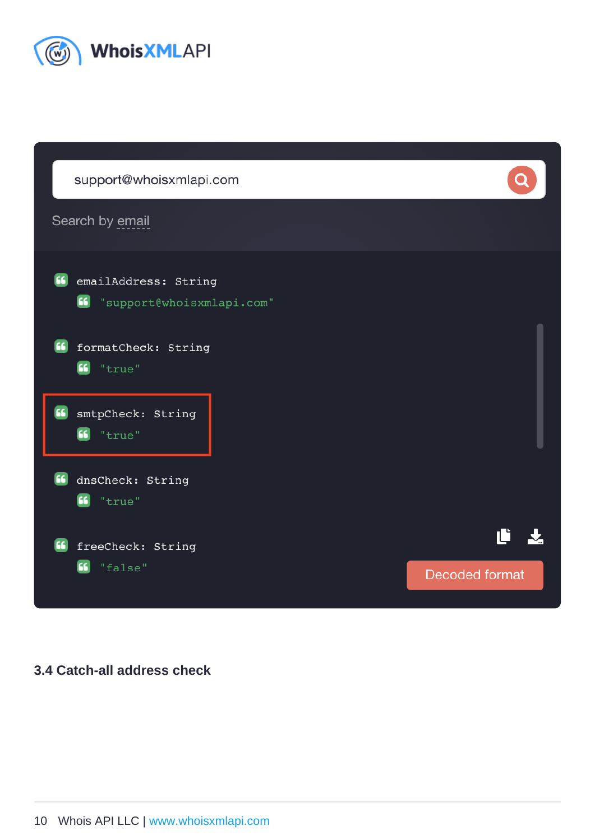3.4 Catch-all address check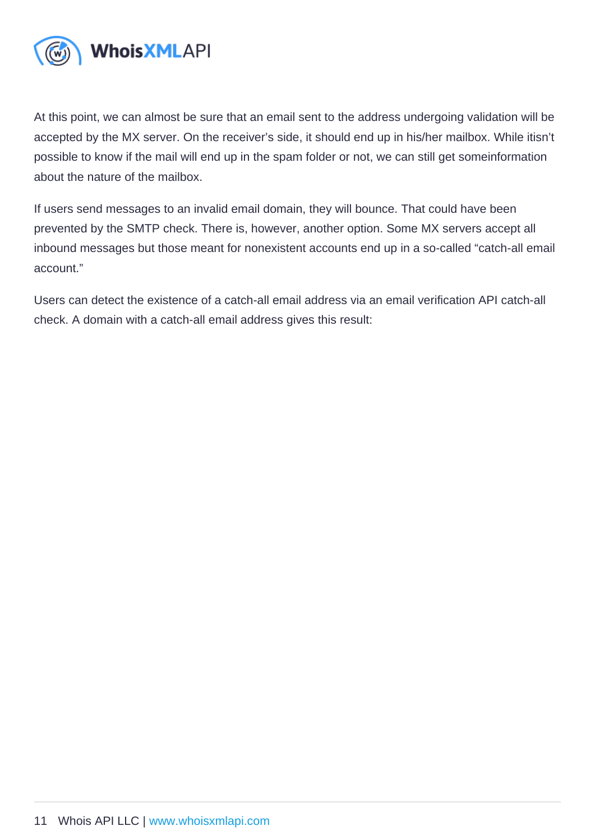At this point, we can almost be sure that an email sent to the address undergoing validation will be accepted by the MX server. On the receiver's side, it should end up in his/her mailbox. While itisn't possible to know if the mail will end up in the spam folder or not, we can still get someinformation about the nature of the mailbox.

If users send messages to an invalid email domain, they will bounce. That could have been prevented by the SMTP check. There is, however, another option. Some MX servers accept all inbound messages but those meant for nonexistent accounts end up in a so-called "catch-all email account."

Users can detect the existence of a catch-all email address via an email verification API catch-all check. A domain with a catch-all email address gives this result: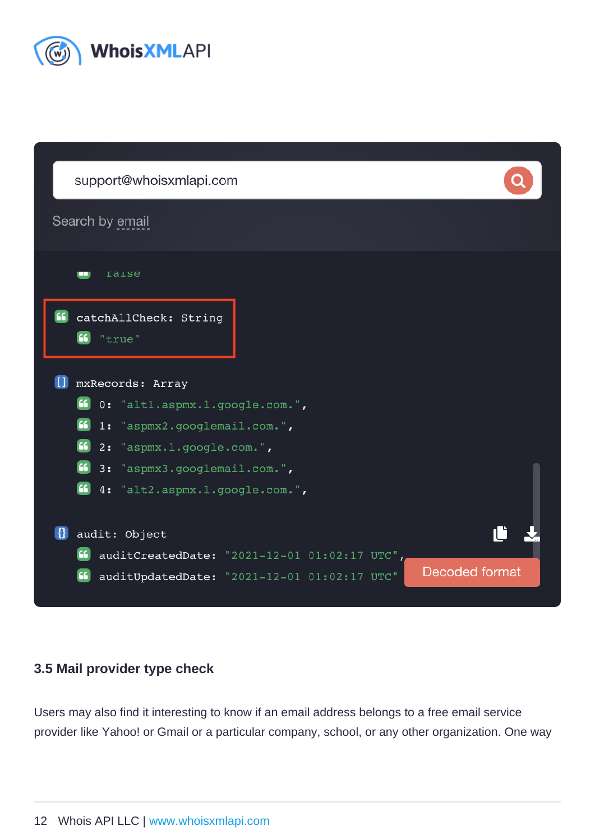#### 3.5 Mail provider type check

Users may also find it interesting to know if an email address belongs to a free email service provider like Yahoo! or Gmail or a particular company, school, or any other organization. One way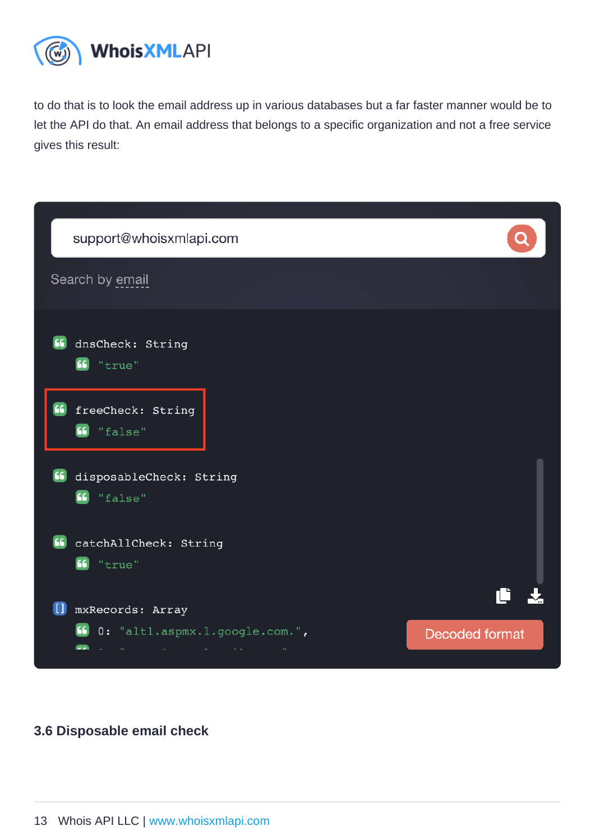to do that is to look the email address up in various databases but a far faster manner would be to let the API do that. An email address that belongs to a specific organization and not a free service gives this result:

3.6 Disposable email check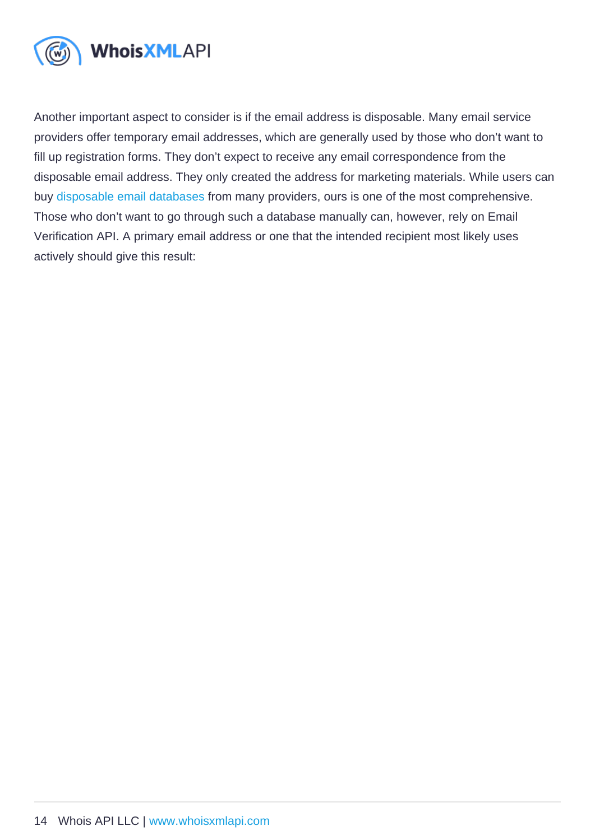Another important aspect to consider is if the email address is disposable. Many email service providers offer temporary email addresses, which are generally used by those who don't want to fill up registration forms. They don't expect to receive any email correspondence from the disposable email address. They only created the address for marketing materials. While users can buy [disposable email databases](https://emailverification.whoisxmlapi.com/disposable-email-domains) from many providers, ours is one of the most comprehensive. Those who don't want to go through such a database manually can, however, rely on Email Verification API. A primary email address or one that the intended recipient most likely uses actively should give this result: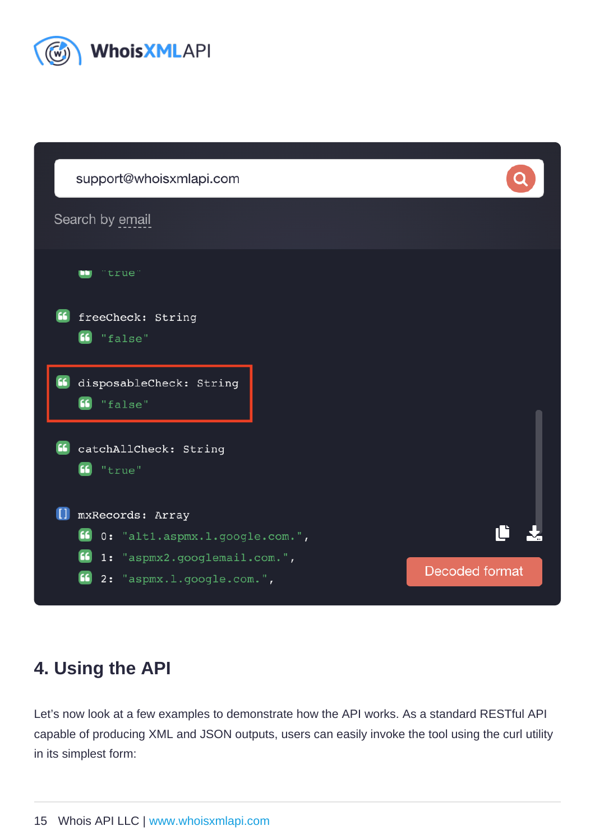## 4. Using the API

Let's now look at a few examples to demonstrate how the API works. As a standard RESTful API capable of producing XML and JSON outputs, users can easily invoke the tool using the curl utility in its simplest form: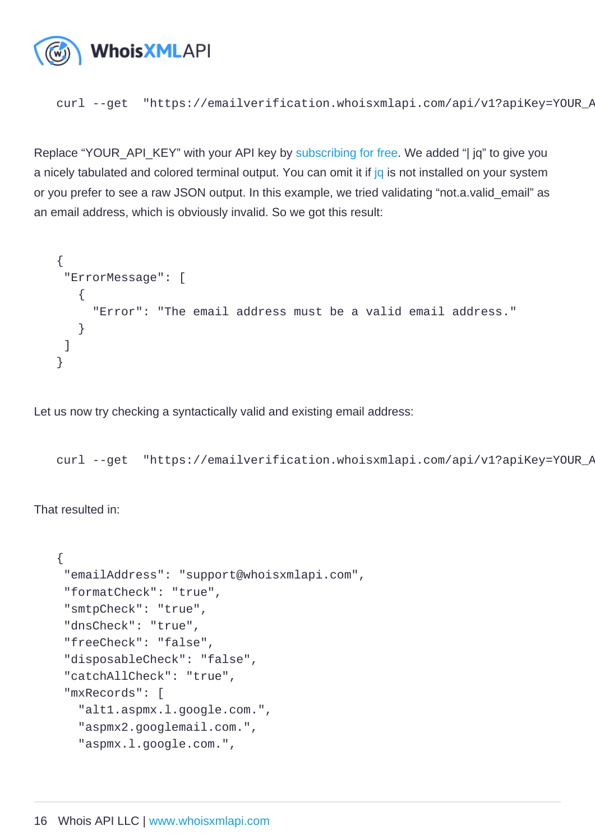curl --get "https://emailverification.whoisxmlapi.com/api/v1?apiKey=YOUR\_API\_KEY&emailAddress=

Replace "YOUR\_API\_KEY" with your API key by [subscribing for free](https://emailverification.whoisxmlapi.com/api/signup). We added "| jq" to give you a nicely tabulated and colored terminal output. You can omit it if [jq](https://stedolan.github.io/jq/) is not installed on your system or you prefer to see a raw JSON output. In this example, we tried validating "not.a.valid\_email" as an email address, which is obviously invalid. So we got this result:

```
{
 "ErrorMessage": [
   {
    "Error": "The email address must be a valid email address."
   }
 ]
}
```
Let us now try checking a syntactically valid and existing email address:

curl --get "https://emailverification.whoisxmlapi.com/api/v1?apiKey=YOUR\_API\_KEY&emailAddress=

That resulted in:

```
{
 "emailAddress": "support@whoisxmlapi.com",
 "formatCheck": "true",
 "smtpCheck": "true",
 "dnsCheck": "true",
 "freeCheck": "false",
 "disposableCheck": "false",
 "catchAllCheck": "true",
 "mxRecords": [
   "alt1.aspmx.l.google.com.",
   "aspmx2.googlemail.com.",
   "aspmx.l.google.com.",
```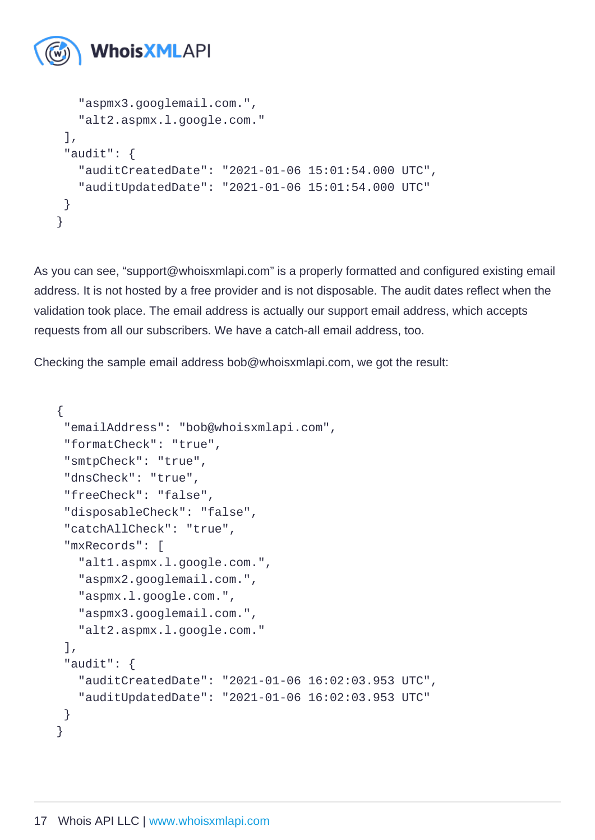```
 "aspmx3.googlemail.com.",
   "alt2.aspmx.l.google.com."
 ],
 "audit": {
   "auditCreatedDate": "2021-01-06 15:01:54.000 UTC",
   "auditUpdatedDate": "2021-01-06 15:01:54.000 UTC"
 }
}
```
As you can see, "support@whoisxmlapi.com" is a properly formatted and configured existing email address. It is not hosted by a free provider and is not disposable. The audit dates reflect when the validation took place. The email address is actually our support email address, which accepts requests from all our subscribers. We have a catch-all email address, too.

Checking the sample email address bob@whoisxmlapi.com, we got the result:

```
{
 "emailAddress": "bob@whoisxmlapi.com",
 "formatCheck": "true",
 "smtpCheck": "true",
 "dnsCheck": "true",
 "freeCheck": "false",
 "disposableCheck": "false",
 "catchAllCheck": "true",
 "mxRecords": [
   "alt1.aspmx.l.google.com.",
   "aspmx2.googlemail.com.",
   "aspmx.l.google.com.",
   "aspmx3.googlemail.com.",
   "alt2.aspmx.l.google.com."
 ],
 "audit": {
   "auditCreatedDate": "2021-01-06 16:02:03.953 UTC",
   "auditUpdatedDate": "2021-01-06 16:02:03.953 UTC"
 }
}
```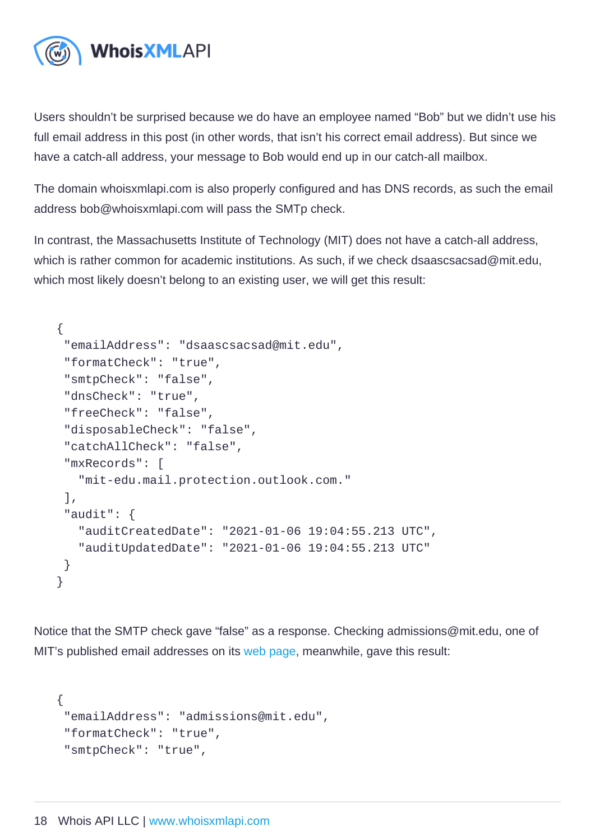Users shouldn't be surprised because we do have an employee named "Bob" but we didn't use his full email address in this post (in other words, that isn't his correct email address). But since we have a catch-all address, your message to Bob would end up in our catch-all mailbox.

The domain whoisxmlapi.com is also properly configured and has DNS records, as such the email address bob@whoisxmlapi.com will pass the SMTp check.

In contrast, the Massachusetts Institute of Technology (MIT) does not have a catch-all address, which is rather common for academic institutions. As such, if we check dsaascsacsad@mit.edu, which most likely doesn't belong to an existing user, we will get this result:

```
{
 "emailAddress": "dsaascsacsad@mit.edu",
 "formatCheck": "true",
 "smtpCheck": "false",
 "dnsCheck": "true",
 "freeCheck": "false",
 "disposableCheck": "false",
 "catchAllCheck": "false",
 "mxRecords": [
   "mit-edu.mail.protection.outlook.com."
 ],
 "audit": {
   "auditCreatedDate": "2021-01-06 19:04:55.213 UTC",
   "auditUpdatedDate": "2021-01-06 19:04:55.213 UTC"
 }
}
```
Notice that the SMTP check gave "false" as a response. Checking admissions@mit.edu, one of MIT's published email addresses on its [web page](https://web.mit.edu/contact), meanwhile, gave this result:

```
{
 "emailAddress": "admissions@mit.edu",
 "formatCheck": "true",
 "smtpCheck": "true",
```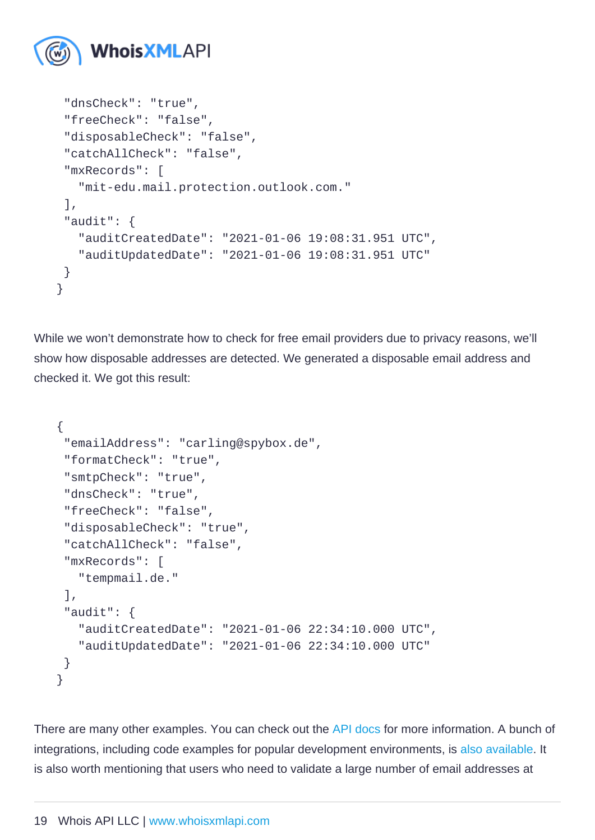```
 "dnsCheck": "true",
 "freeCheck": "false",
 "disposableCheck": "false",
 "catchAllCheck": "false",
 "mxRecords": [
   "mit-edu.mail.protection.outlook.com."
 ],
 "audit": {
   "auditCreatedDate": "2021-01-06 19:08:31.951 UTC",
   "auditUpdatedDate": "2021-01-06 19:08:31.951 UTC"
 }
}
```
While we won't demonstrate how to check for free email providers due to privacy reasons, we'll show how disposable addresses are detected. We generated a disposable email address and checked it. We got this result:

```
{
 "emailAddress": "carling@spybox.de",
 "formatCheck": "true",
 "smtpCheck": "true",
 "dnsCheck": "true",
 "freeCheck": "false",
 "disposableCheck": "true",
 "catchAllCheck": "false",
 "mxRecords": [
  "tempmail.de."
 ],
 "audit": {
   "auditCreatedDate": "2021-01-06 22:34:10.000 UTC",
   "auditUpdatedDate": "2021-01-06 22:34:10.000 UTC"
 }
}
```
There are many other examples. You can check out the [API docs](https://emailverification.whoisxmlapi.com/api/documentation/making-requests) for more information. A bunch of integrations, including code examples for popular development environments, is [also available.](https://emailverification.whoisxmlapi.com/api/integrations/developer-libraries) It is also worth mentioning that users who need to validate a large number of email addresses at